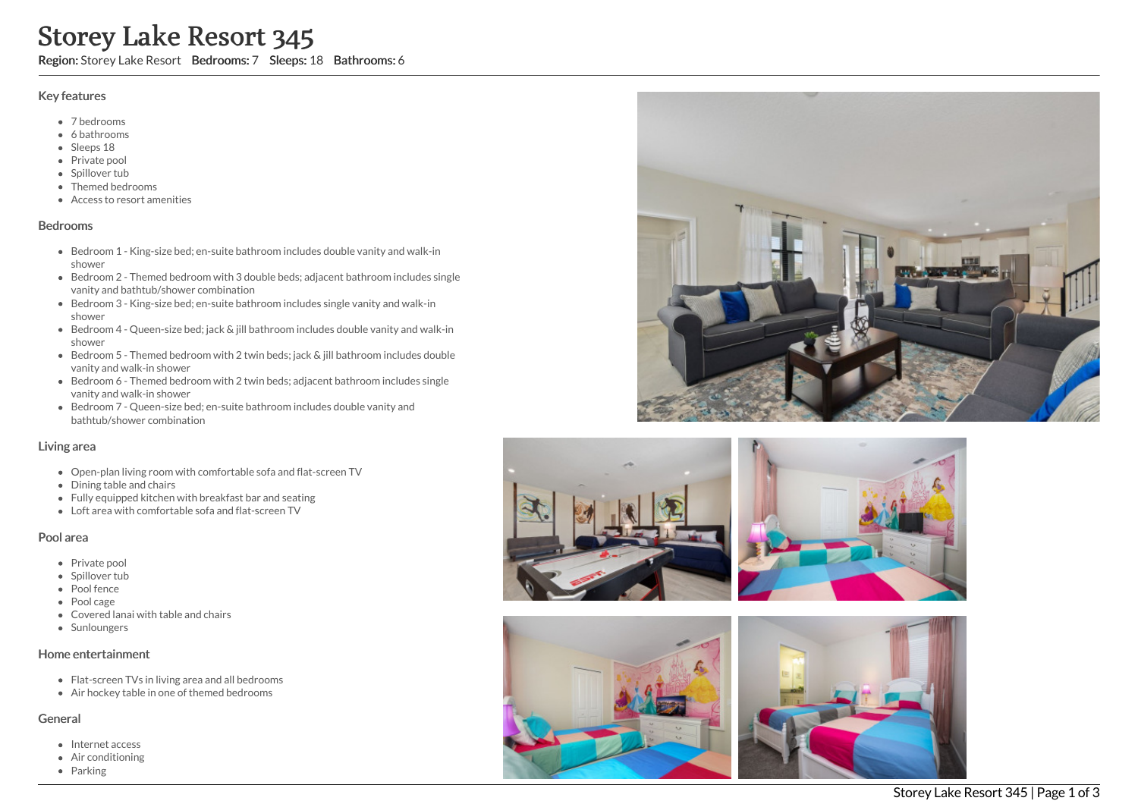# Storey Lake Resort 345

Region: Storey Lake Resort Bedrooms: 7 Sleeps: 18 Bathrooms: 6

### Key features

- 7 b e d r o o m s
- 6 bathrooms
- Sleeps 18
- Private pool
- Spillover tub
- Themed bedr o o m s
- Access to resort amenities

#### **Bedrooms**

- Bedroom 1 King-size bed; en-suite bathroom includes double vanity and walk-in s h o w e r
- Bedroom 2 Themed bedroom with 3 double beds; adjacent bathroom includes single vanity and bathtub/shower combination
- Bedroom 3 King-size bed; en-suite bathroom includes single vanity and walk-in s h o w e r
- Bedroom 4 Queen-size bed; jack & jill bathroom includes double vanity and walk-in s h o w e r
- Bedroom 5 Themed bedroom with 2 twin beds; jack & jill bathroom includes double vanity and walk-in shower
- Bedroom 6 Themed bedroom with 2 twin beds; adjacent bathroom includes single vanity and walk-in shower
- Bedroom 7 Queen-size bed; en-suite bathroom includes double vanity and bathtub/shower combination

## Living area

- Open-plan living room with comfortable sofa and flat-screen TV
- Dining table and chairs
- Fully equipped kitchen with breakfast bar and seating
- Loft area with comfortable sofa and flat-screen TV

## Pool area

- Private pool
- Spillover tub
- Pool fence
- Pool cage Covered lanai with table and chairs
- **Sunloungers**

## Home entertainment

- Flat-screen TVs in living area and all bedrooms
- Air hockey table in one of themed bedrooms

## General

- Internet access
- Air conditioning
- Parking







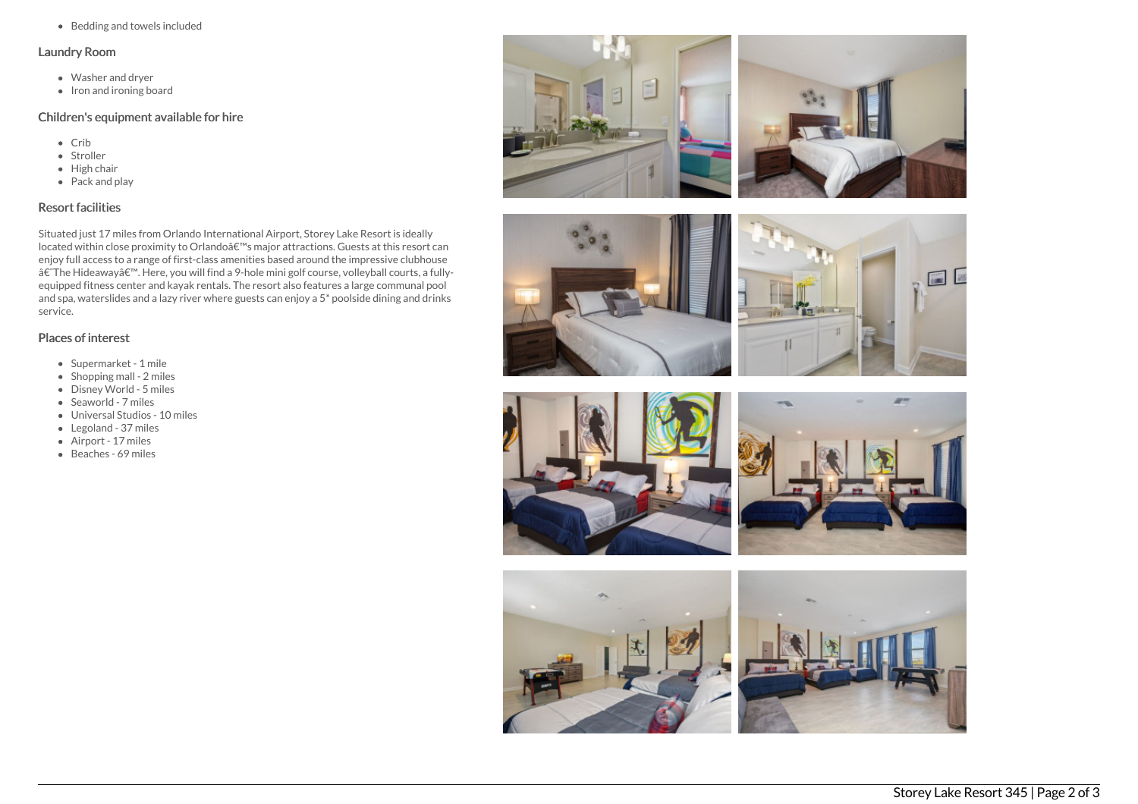Bedding and towels included

#### Laundry Room

- Washer and dryer
- $\bullet$  Iron and ironing board

# Children's equipment available for hire

- Crib
- Stroller
- $\bullet$  High chair
- Pack and play

# Resort facilities

Situated just 17 miles from Orlando International Airport, Storey Lake Resort is ideally located within close proximity to Orlandoâ€<sup>™</sup>s major attractions. Guests at this resort can enjoy full access to a range of first-class amenities based around the impressive clubhouse †The Hideaway'. Here, you will find a 9-hole mini golf course, volleyball courts, a fullyequipped fitness center and kayak rentals. The resort also features a large communal pool and spa, waterslides and a lazy river where guests can enjoy a 5\* poolside dining and drinks service.

## Places of interest

- Supermarket 1 mile
- $\bullet$  Shopping mall 2 miles
- Disney World 5 miles
- Seaworld 7 miles
- Universal Studios 10 miles
- Legoland 37 miles
- Airport 17 miles
- Beaches 69 miles